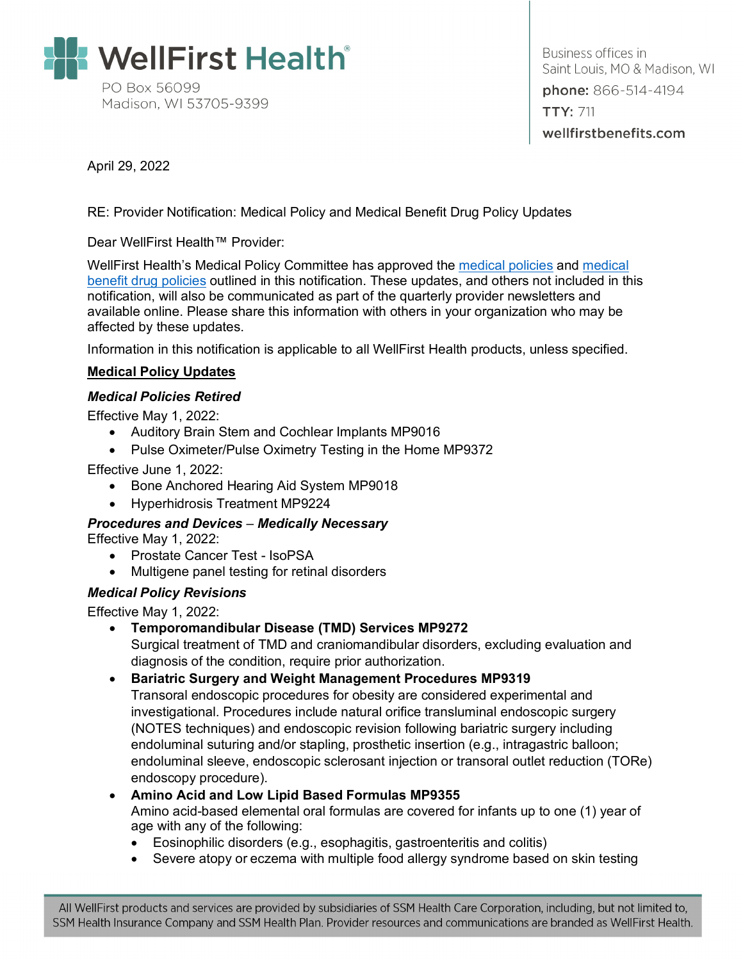

Business offices in Saint Louis, MO & Madison, WI phone: 866-514-4194 **TTY: 711** wellfirstbenefits.com

April 29, 2022

RE: Provider Notification: Medical Policy and Medical Benefit Drug Policy Updates

Dear WellFirst Health™ Provider:

WellFirst Health's Medical Policy Committee has approved the [medical policies](#page-0-0) and [medical](#page-0-1)  [benefit drug policies](#page-0-1) outlined in this notification. These updates, and others not included in this notification, will also be communicated as part of the quarterly provider newsletters and available online. Please share this information with others in your organization who may be affected by these updates.

Information in this notification is applicable to all WellFirst Health products, unless specified.

### <span id="page-0-0"></span>**Medical Policy Updates**

#### *Medical Policies Retired*

Effective May 1, 2022:

- Auditory Brain Stem and Cochlear Implants MP9016
- Pulse Oximeter/Pulse Oximetry Testing in the Home MP9372

Effective June 1, 2022:

- Bone Anchored Hearing Aid System MP9018
- Hyperhidrosis Treatment MP9224

*Procedures and Devices* – *Medically Necessary* Effective May 1, 2022:

- Prostate Cancer Test IsoPSA
- Multigene panel testing for retinal disorders

#### *Medical Policy Revisions*

<span id="page-0-1"></span>Effective May 1, 2022:

• **Temporomandibular Disease (TMD) Services MP9272**

Surgical treatment of TMD and craniomandibular disorders, excluding evaluation and diagnosis of the condition, require prior authorization.

#### • **Bariatric Surgery and Weight Management Procedures MP9319**

Transoral endoscopic procedures for obesity are considered experimental and investigational. Procedures include natural orifice transluminal endoscopic surgery (NOTES techniques) and endoscopic revision following bariatric surgery including endoluminal suturing and/or stapling, prosthetic insertion (e.g., intragastric balloon; endoluminal sleeve, endoscopic sclerosant injection or transoral outlet reduction (TORe) endoscopy procedure).

# • **Amino Acid and Low Lipid Based Formulas MP9355**

Amino acid-based elemental oral formulas are covered for infants up to one (1) year of age with any of the following:

- Eosinophilic disorders (e.g., esophagitis, gastroenteritis and colitis)
- Severe atopy or eczema with multiple food allergy syndrome based on skin testing

All WellFirst products and services are provided by subsidiaries of SSM Health Care Corporation, including, but not limited to, SSM Health Insurance Company and SSM Health Plan. Provider resources and communications are branded as WellFirst Health.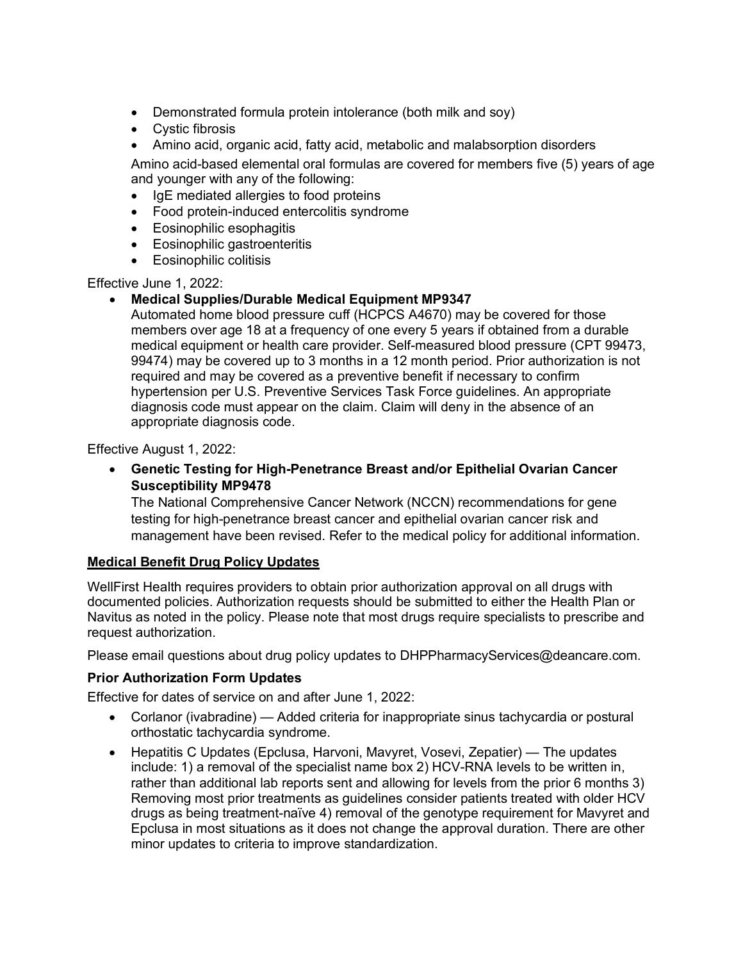- Demonstrated formula protein intolerance (both milk and soy)
- Cystic fibrosis
- Amino acid, organic acid, fatty acid, metabolic and malabsorption disorders

Amino acid-based elemental oral formulas are covered for members five (5) years of age and younger with any of the following:

- IgE mediated allergies to food proteins
- Food protein-induced entercolitis syndrome
- Eosinophilic esophagitis
- Eosinophilic gastroenteritis
- Eosinophilic colitisis

Effective June 1, 2022:

### • **Medical Supplies/Durable Medical Equipment MP9347**

Automated home blood pressure cuff (HCPCS A4670) may be covered for those members over age 18 at a frequency of one every 5 years if obtained from a durable medical equipment or health care provider. Self-measured blood pressure (CPT 99473, 99474) may be covered up to 3 months in a 12 month period. Prior authorization is not required and may be covered as a preventive benefit if necessary to confirm hypertension per U.S. Preventive Services Task Force guidelines. An appropriate diagnosis code must appear on the claim. Claim will deny in the absence of an appropriate diagnosis code.

Effective August 1, 2022:

• **Genetic Testing for High-Penetrance Breast and/or Epithelial Ovarian Cancer Susceptibility MP9478**

The National Comprehensive Cancer Network (NCCN) recommendations for gene testing for high-penetrance breast cancer and epithelial ovarian cancer risk and management have been revised. Refer to the medical policy for additional information.

#### **Medical Benefit Drug Policy Updates**

WellFirst Health requires providers to obtain prior authorization approval on all drugs with documented policies. Authorization requests should be submitted to either the Health Plan or Navitus as noted in the policy. Please note that most drugs require specialists to prescribe and request authorization.

Please email questions about drug policy updates to DHPPharmacyServices@deancare.com.

#### **Prior Authorization Form Updates**

Effective for dates of service on and after June 1, 2022:

- Corlanor (ivabradine) Added criteria for inappropriate sinus tachycardia or postural orthostatic tachycardia syndrome.
- Hepatitis C Updates (Epclusa, Harvoni, Mavyret, Vosevi, Zepatier) The updates include: 1) a removal of the specialist name box 2) HCV-RNA levels to be written in, rather than additional lab reports sent and allowing for levels from the prior 6 months 3) Removing most prior treatments as guidelines consider patients treated with older HCV drugs as being treatment-naïve 4) removal of the genotype requirement for Mavyret and Epclusa in most situations as it does not change the approval duration. There are other minor updates to criteria to improve standardization.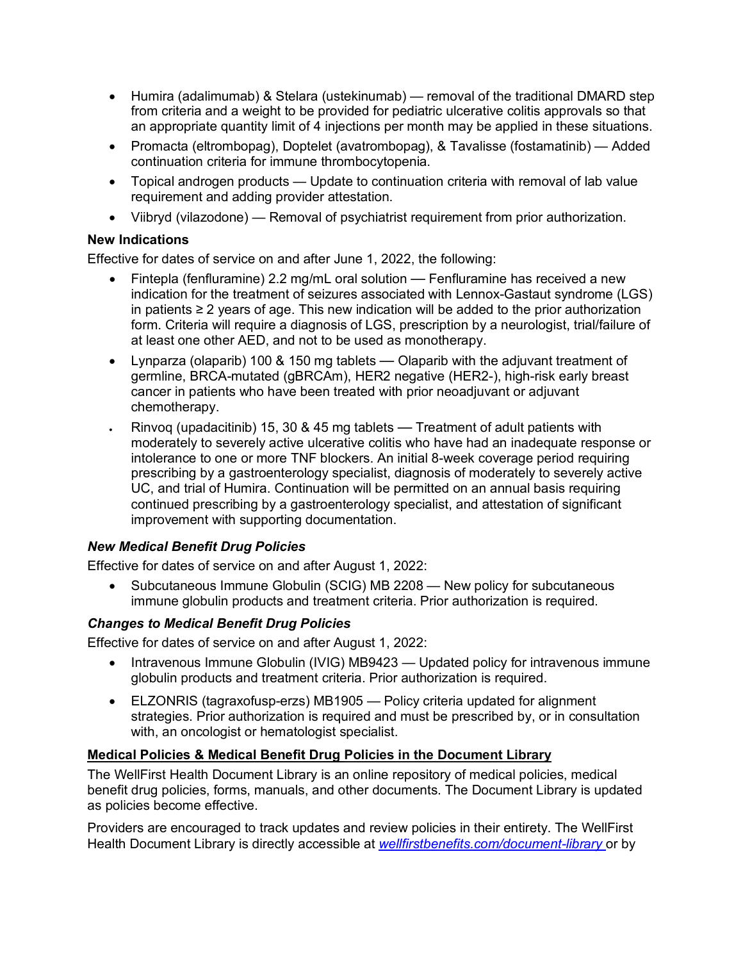- Humira (adalimumab) & Stelara (ustekinumab) removal of the traditional DMARD step from criteria and a weight to be provided for pediatric ulcerative colitis approvals so that an appropriate quantity limit of 4 injections per month may be applied in these situations.
- Promacta (eltrombopag), Doptelet (avatrombopag), & Tavalisse (fostamatinib) Added continuation criteria for immune thrombocytopenia.
- Topical androgen products Update to continuation criteria with removal of lab value requirement and adding provider attestation.
- Viibryd (vilazodone) Removal of psychiatrist requirement from prior authorization.

### **New Indications**

Effective for dates of service on and after June 1, 2022, the following:

- Fintepla (fenfluramine) 2.2 mg/mL oral solution Fenfluramine has received a new indication for the treatment of seizures associated with Lennox-Gastaut syndrome (LGS) in patients ≥ 2 years of age. This new indication will be added to the prior authorization form. Criteria will require a diagnosis of LGS, prescription by a neurologist, trial/failure of at least one other AED, and not to be used as monotherapy.
- Lynparza (olaparib) 100 & 150 mg tablets Olaparib with the adjuvant treatment of germline, BRCA-mutated (gBRCAm), HER2 negative (HER2-), high-risk early breast cancer in patients who have been treated with prior neoadjuvant or adjuvant chemotherapy.
- Rinvoq (upadacitinib) 15, 30 & 45 mg tablets Treatment of adult patients with moderately to severely active ulcerative colitis who have had an inadequate response or intolerance to one or more TNF blockers. An initial 8-week coverage period requiring prescribing by a gastroenterology specialist, diagnosis of moderately to severely active UC, and trial of Humira. Continuation will be permitted on an annual basis requiring continued prescribing by a gastroenterology specialist, and attestation of significant improvement with supporting documentation.

# *New Medical Benefit Drug Policies*

Effective for dates of service on and after August 1, 2022:

• Subcutaneous Immune Globulin (SCIG) MB 2208 — New policy for subcutaneous immune globulin products and treatment criteria. Prior authorization is required.

# *Changes to Medical Benefit Drug Policies*

Effective for dates of service on and after August 1, 2022:

- Intravenous Immune Globulin (IVIG) MB9423 Updated policy for intravenous immune globulin products and treatment criteria. Prior authorization is required.
- ELZONRIS (tagraxofusp-erzs) MB1905 Policy criteria updated for alignment strategies. Prior authorization is required and must be prescribed by, or in consultation with, an oncologist or hematologist specialist.

# **Medical Policies & Medical Benefit Drug Policies in the Document Library**

The WellFirst Health Document Library is an online repository of medical policies, medical benefit drug policies, forms, manuals, and other documents. The Document Library is updated as policies become effective.

Providers are encouraged to track updates and review policies in their entirety. The WellFirst Health Document Library is directly accessible at *[wellfirstbenefits.com/document-library](https://wellfirstbenefits.com/document-library)* or by